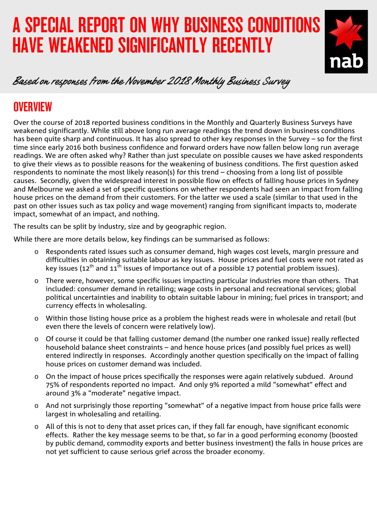# A SPECIAL REPORT ON WHY BUSINESS CONDITIONS HAVE WEAKENED SIGNIFICANTLY RECENTLY



### Based on responses from the November 2018 Monthly Business Survey

# **OVERVIEW**

Over the course of 2018 reported business conditions in the Monthly and Quarterly Business Surveys have weakened significantly. While still above long run average readings the trend down in business conditions has been quite sharp and continuous. It has also spread to other key responses in the Survey – so for the first time since early 2016 both business confidence and forward orders have now fallen below long run average readings. We are often asked why? Rather than just speculate on possible causes we have asked respondents to give their views as to possible reasons for the weakening of business conditions. The first question asked respondents to nominate the most likely reason(s) for this trend – choosing from a long list of possible causes. Secondly, given the widespread interest in possible flow on effects of falling house prices in Sydney and Melbourne we asked a set of specific questions on whether respondents had seen an impact from falling house prices on the demand from their customers. For the latter we used a scale (similar to that used in the past on other issues such as tax policy and wage movement) ranging from significant impacts to, moderate impact, somewhat of an impact, and nothing.

The results can be split by industry, size and by geographic region.

While there are more details below, key findings can be summarised as follows:

- o Respondents rated issues such as consumer demand, high wages cost levels, margin pressure and difficulties in obtaining suitable labour as key issues. House prices and fuel costs were not rated as key issues (12<sup>th</sup> and 11<sup>th</sup> issues of importance out of a possible 17 potential problem issues).
- o There were, however, some specific issues impacting particular industries more than others. That included: consumer demand in retailing; wage costs in personal and recreational services; global political uncertainties and inability to obtain suitable labour in mining; fuel prices in transport; and currency effects in wholesaling.
- o Within those listing house price as a problem the highest reads were in wholesale and retail (but even there the levels of concern were relatively low).
- o Of course it could be that falling customer demand (the number one ranked issue) really reflected household balance sheet constraints – and hence house prices (and possibly fuel prices as well) entered indirectly in responses. Accordingly another question specifically on the impact of falling house prices on customer demand was included.
- On the impact of house prices specifically the responses were again relatively subdued. Around 75% of respondents reported no impact. And only 9% reported a mild "somewhat" effect and around 3% a "moderate" negative impact.
- o And not surprisingly those reporting "somewhat" of a negative impact from house price falls were largest in wholesaling and retailing.
- o All of this is not to deny that asset prices can, if they fall far enough, have significant economic effects. Rather the key message seems to be that, so far in a good performing economy (boosted by public demand, commodity exports and better business investment) the falls in house prices are not yet sufficient to cause serious grief across the broader economy.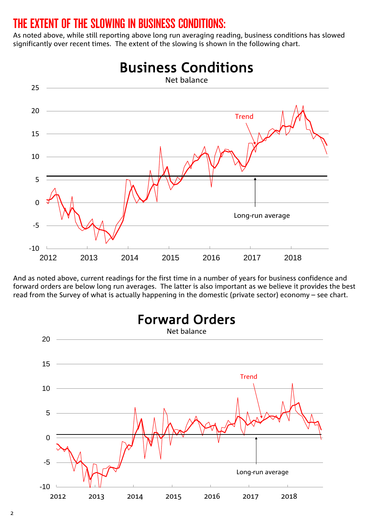### THE EXTENT OF THE SLOWING IN BUSINESS CONDITIONS:

As noted above, while still reporting above long run averaging reading, business conditions has slowed significantly over recent times. The extent of the slowing is shown in the following chart.



And as noted above, current readings for the first time in a number of years for business confidence and forward orders are below long run averages. The latter is also important as we believe it provides the best read from the Survey of what is actually happening in the domestic (private sector) economy – see chart.



2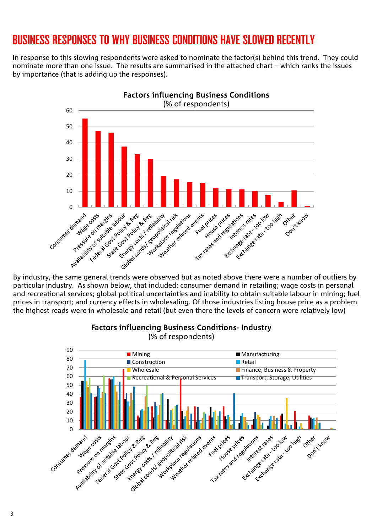## BUSINESS RESPONSES TO WHY BUSINESS CONDITIONS HAVE SLOWED RECENTLY

In response to this slowing respondents were asked to nominate the factor(s) behind this trend. They could nominate more than one issue. The results are summarised in the attached chart – which ranks the issues by importance (that is adding up the responses).



particular industry. As shown below, that included: consumer demand in retailing; wage costs in personal and recreational services; global political uncertainties and inability to obtain suitable labour in mining; fuel prices in transport; and currency effects in wholesaling. Of those industries listing house price as a problem the highest reads were in wholesale and retail (but even there the levels of concern were relatively low)



#### Factors influencing Business Conditions- Industry

(% of respondents)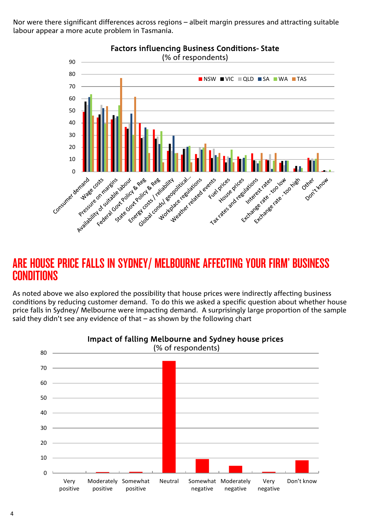Nor were there significant differences across regions – albeit margin pressures and attracting suitable labour appear a more acute problem in Tasmania.



### ARE HOUSE PRICE FALLS IN SYDNEY/ MELBOURNE AFFECTING YOUR FIRM' BUSINESS **CONDITIONS**

As noted above we also explored the possibility that house prices were indirectly affecting business conditions by reducing customer demand. To do this we asked a specific question about whether house price falls in Sydney/ Melbourne were impacting demand. A surprisingly large proportion of the sample said they didn't see any evidence of that – as shown by the following chart



#### Impact of falling Melbourne and Sydney house prices